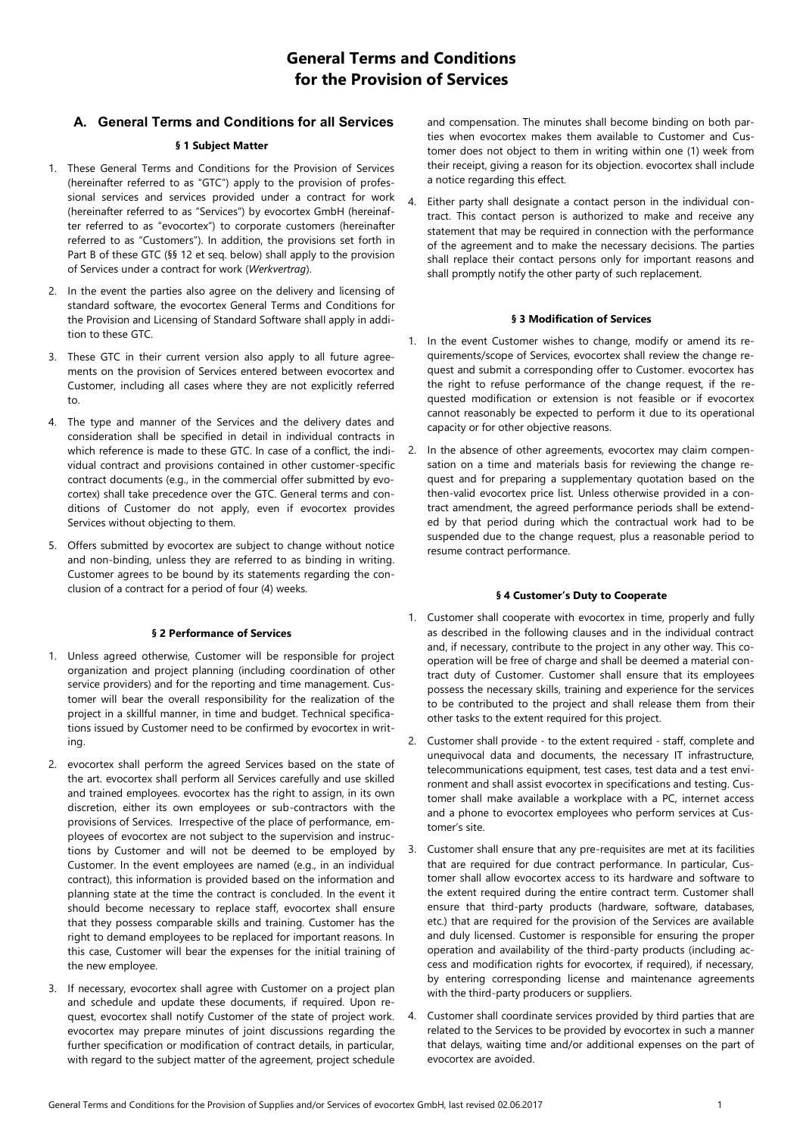# **General Terms and Conditions for the Provision of Services**

# **A. General Terms and Conditions for all Services**

# **§ 1 Subject Matter**

- 1. These General Terms and Conditions for the Provision of Services (hereinafter referred to as "GTC") apply to the provision of professional services and services provided under a contract for work (hereinafter referred to as "Services") by evocortex GmbH (hereinafter referred to as "evocortex") to corporate customers (hereinafter referred to as "Customers"). In addition, the provisions set forth in Part B of these GTC (§§ 12 et seq. below) shall apply to the provision of Services under a contract for work (*Werkvertrag*).
- 2. In the event the parties also agree on the delivery and licensing of standard software, the evocortex General Terms and Conditions for the Provision and Licensing of Standard Software shall apply in addition to these GTC.
- 3. These GTC in their current version also apply to all future agreements on the provision of Services entered between evocortex and Customer, including all cases where they are not explicitly referred to.
- 4. The type and manner of the Services and the delivery dates and consideration shall be specified in detail in individual contracts in which reference is made to these GTC. In case of a conflict, the individual contract and provisions contained in other customer-specific contract documents (e.g., in the commercial offer submitted by evocortex) shall take precedence over the GTC. General terms and conditions of Customer do not apply, even if evocortex provides Services without objecting to them.
- 5. Offers submitted by evocortex are subject to change without notice and non-binding, unless they are referred to as binding in writing. Customer agrees to be bound by its statements regarding the conclusion of a contract for a period of four (4) weeks.

# **§ 2 Performance of Services**

- 1. Unless agreed otherwise, Customer will be responsible for project organization and project planning (including coordination of other service providers) and for the reporting and time management. Customer will bear the overall responsibility for the realization of the project in a skillful manner, in time and budget. Technical specifications issued by Customer need to be confirmed by evocortex in writing.
- 2. evocortex shall perform the agreed Services based on the state of the art. evocortex shall perform all Services carefully and use skilled and trained employees. evocortex has the right to assign, in its own discretion, either its own employees or sub-contractors with the provisions of Services. Irrespective of the place of performance, employees of evocortex are not subject to the supervision and instructions by Customer and will not be deemed to be employed by Customer. In the event employees are named (e.g., in an individual contract), this information is provided based on the information and planning state at the time the contract is concluded. In the event it should become necessary to replace staff, evocortex shall ensure that they possess comparable skills and training. Customer has the right to demand employees to be replaced for important reasons. In this case, Customer will bear the expenses for the initial training of the new employee.
- 3. If necessary, evocortex shall agree with Customer on a project plan and schedule and update these documents, if required. Upon request, evocortex shall notify Customer of the state of project work. evocortex may prepare minutes of joint discussions regarding the further specification or modification of contract details, in particular, with regard to the subject matter of the agreement, project schedule

and compensation. The minutes shall become binding on both parties when evocortex makes them available to Customer and Customer does not object to them in writing within one (1) week from their receipt, giving a reason for its objection. evocortex shall include a notice regarding this effect.

4. Either party shall designate a contact person in the individual contract. This contact person is authorized to make and receive any statement that may be required in connection with the performance of the agreement and to make the necessary decisions. The parties shall replace their contact persons only for important reasons and shall promptly notify the other party of such replacement.

# **§ 3 Modification of Services**

- 1. In the event Customer wishes to change, modify or amend its requirements/scope of Services, evocortex shall review the change request and submit a corresponding offer to Customer. evocortex has the right to refuse performance of the change request, if the requested modification or extension is not feasible or if evocortex cannot reasonably be expected to perform it due to its operational capacity or for other objective reasons.
- In the absence of other agreements, evocortex may claim compensation on a time and materials basis for reviewing the change request and for preparing a supplementary quotation based on the then-valid evocortex price list. Unless otherwise provided in a contract amendment, the agreed performance periods shall be extended by that period during which the contractual work had to be suspended due to the change request, plus a reasonable period to resume contract performance.

# **§ 4 Customer's Duty to Cooperate**

- 1. Customer shall cooperate with evocortex in time, properly and fully as described in the following clauses and in the individual contract and, if necessary, contribute to the project in any other way. This cooperation will be free of charge and shall be deemed a material contract duty of Customer. Customer shall ensure that its employees possess the necessary skills, training and experience for the services to be contributed to the project and shall release them from their other tasks to the extent required for this project.
- 2. Customer shall provide to the extent required staff, complete and unequivocal data and documents, the necessary IT infrastructure, telecommunications equipment, test cases, test data and a test environment and shall assist evocortex in specifications and testing. Customer shall make available a workplace with a PC, internet access and a phone to evocortex employees who perform services at Customer's site.
- 3. Customer shall ensure that any pre-requisites are met at its facilities that are required for due contract performance. In particular, Customer shall allow evocortex access to its hardware and software to the extent required during the entire contract term. Customer shall ensure that third-party products (hardware, software, databases, etc.) that are required for the provision of the Services are available and duly licensed. Customer is responsible for ensuring the proper operation and availability of the third-party products (including access and modification rights for evocortex, if required), if necessary, by entering corresponding license and maintenance agreements with the third-party producers or suppliers.
- 4. Customer shall coordinate services provided by third parties that are related to the Services to be provided by evocortex in such a manner that delays, waiting time and/or additional expenses on the part of evocortex are avoided.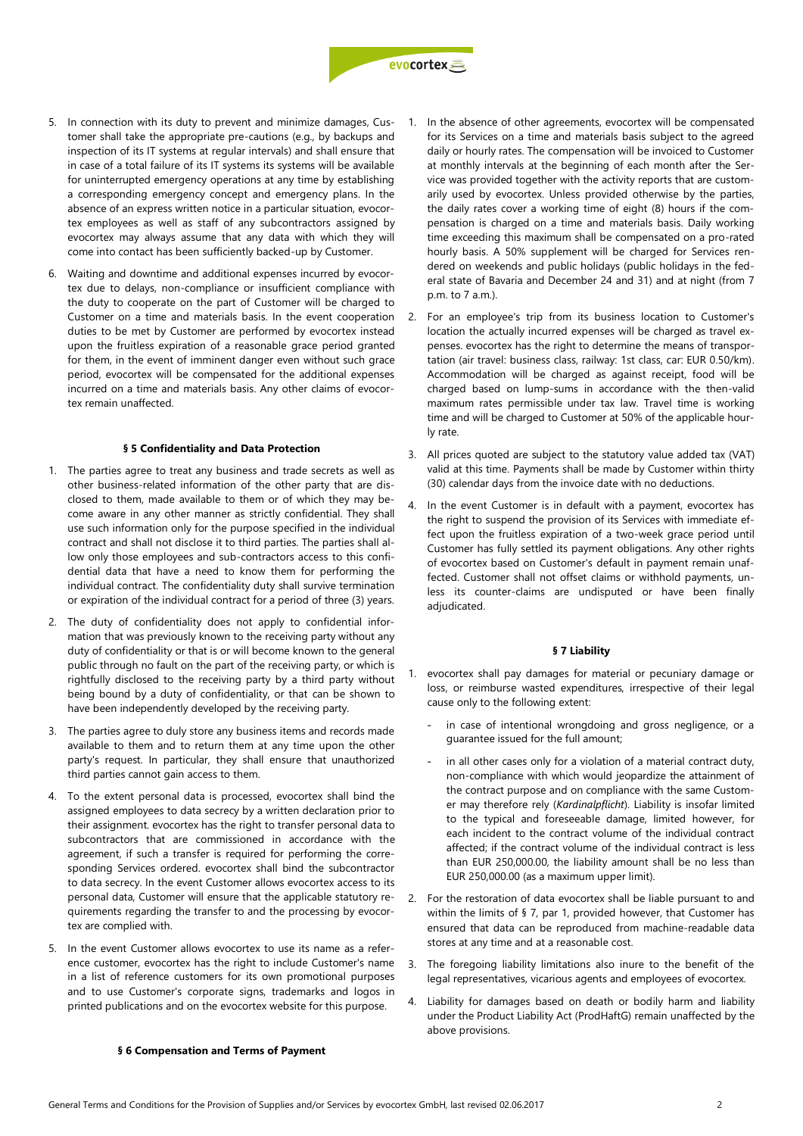

- 5. In connection with its duty to prevent and minimize damages, Customer shall take the appropriate pre-cautions (e.g., by backups and inspection of its IT systems at regular intervals) and shall ensure that in case of a total failure of its IT systems its systems will be available for uninterrupted emergency operations at any time by establishing a corresponding emergency concept and emergency plans. In the absence of an express written notice in a particular situation, evocortex employees as well as staff of any subcontractors assigned by evocortex may always assume that any data with which they will come into contact has been sufficiently backed-up by Customer.
- 6. Waiting and downtime and additional expenses incurred by evocortex due to delays, non-compliance or insufficient compliance with the duty to cooperate on the part of Customer will be charged to Customer on a time and materials basis. In the event cooperation duties to be met by Customer are performed by evocortex instead upon the fruitless expiration of a reasonable grace period granted for them, in the event of imminent danger even without such grace period, evocortex will be compensated for the additional expenses incurred on a time and materials basis. Any other claims of evocortex remain unaffected.

# **§ 5 Confidentiality and Data Protection**

- 1. The parties agree to treat any business and trade secrets as well as other business-related information of the other party that are disclosed to them, made available to them or of which they may become aware in any other manner as strictly confidential. They shall use such information only for the purpose specified in the individual contract and shall not disclose it to third parties. The parties shall allow only those employees and sub-contractors access to this confidential data that have a need to know them for performing the individual contract. The confidentiality duty shall survive termination or expiration of the individual contract for a period of three (3) years.
- 2. The duty of confidentiality does not apply to confidential information that was previously known to the receiving party without any duty of confidentiality or that is or will become known to the general public through no fault on the part of the receiving party, or which is rightfully disclosed to the receiving party by a third party without being bound by a duty of confidentiality, or that can be shown to have been independently developed by the receiving party.
- 3. The parties agree to duly store any business items and records made available to them and to return them at any time upon the other party's request. In particular, they shall ensure that unauthorized third parties cannot gain access to them.
- 4. To the extent personal data is processed, evocortex shall bind the assigned employees to data secrecy by a written declaration prior to their assignment. evocortex has the right to transfer personal data to subcontractors that are commissioned in accordance with the agreement, if such a transfer is required for performing the corresponding Services ordered. evocortex shall bind the subcontractor to data secrecy. In the event Customer allows evocortex access to its personal data, Customer will ensure that the applicable statutory requirements regarding the transfer to and the processing by evocortex are complied with.
- 5. In the event Customer allows evocortex to use its name as a reference customer, evocortex has the right to include Customer's name in a list of reference customers for its own promotional purposes and to use Customer's corporate signs, trademarks and logos in printed publications and on the evocortex website for this purpose.
- 1. In the absence of other agreements, evocortex will be compensated for its Services on a time and materials basis subject to the agreed daily or hourly rates. The compensation will be invoiced to Customer at monthly intervals at the beginning of each month after the Service was provided together with the activity reports that are customarily used by evocortex. Unless provided otherwise by the parties, the daily rates cover a working time of eight (8) hours if the compensation is charged on a time and materials basis. Daily working time exceeding this maximum shall be compensated on a pro-rated hourly basis. A 50% supplement will be charged for Services rendered on weekends and public holidays (public holidays in the federal state of Bavaria and December 24 and 31) and at night (from 7 p.m. to 7 a.m.).
- 2. For an employee's trip from its business location to Customer's location the actually incurred expenses will be charged as travel expenses. evocortex has the right to determine the means of transportation (air travel: business class, railway: 1st class, car: EUR 0.50/km). Accommodation will be charged as against receipt, food will be charged based on lump-sums in accordance with the then-valid maximum rates permissible under tax law. Travel time is working time and will be charged to Customer at 50% of the applicable hourly rate.
- All prices quoted are subject to the statutory value added tax (VAT) valid at this time. Payments shall be made by Customer within thirty (30) calendar days from the invoice date with no deductions.
- 4. In the event Customer is in default with a payment, evocortex has the right to suspend the provision of its Services with immediate effect upon the fruitless expiration of a two-week grace period until Customer has fully settled its payment obligations. Any other rights of evocortex based on Customer's default in payment remain unaffected. Customer shall not offset claims or withhold payments, unless its counter-claims are undisputed or have been finally adjudicated.

#### **§ 7 Liability**

- 1. evocortex shall pay damages for material or pecuniary damage or loss, or reimburse wasted expenditures, irrespective of their legal cause only to the following extent:
	- in case of intentional wrongdoing and gross negligence, or a guarantee issued for the full amount;
	- in all other cases only for a violation of a material contract duty, non-compliance with which would jeopardize the attainment of the contract purpose and on compliance with the same Customer may therefore rely (*Kardinalpflicht*). Liability is insofar limited to the typical and foreseeable damage, limited however, for each incident to the contract volume of the individual contract affected; if the contract volume of the individual contract is less than EUR 250,000.00, the liability amount shall be no less than EUR 250,000.00 (as a maximum upper limit).
- 2. For the restoration of data evocortex shall be liable pursuant to and within the limits of § 7, par 1, provided however, that Customer has ensured that data can be reproduced from machine-readable data stores at any time and at a reasonable cost.
- 3. The foregoing liability limitations also inure to the benefit of the legal representatives, vicarious agents and employees of evocortex.
- 4. Liability for damages based on death or bodily harm and liability under the Product Liability Act (ProdHaftG) remain unaffected by the above provisions.

#### **§ 6 Compensation and Terms of Payment**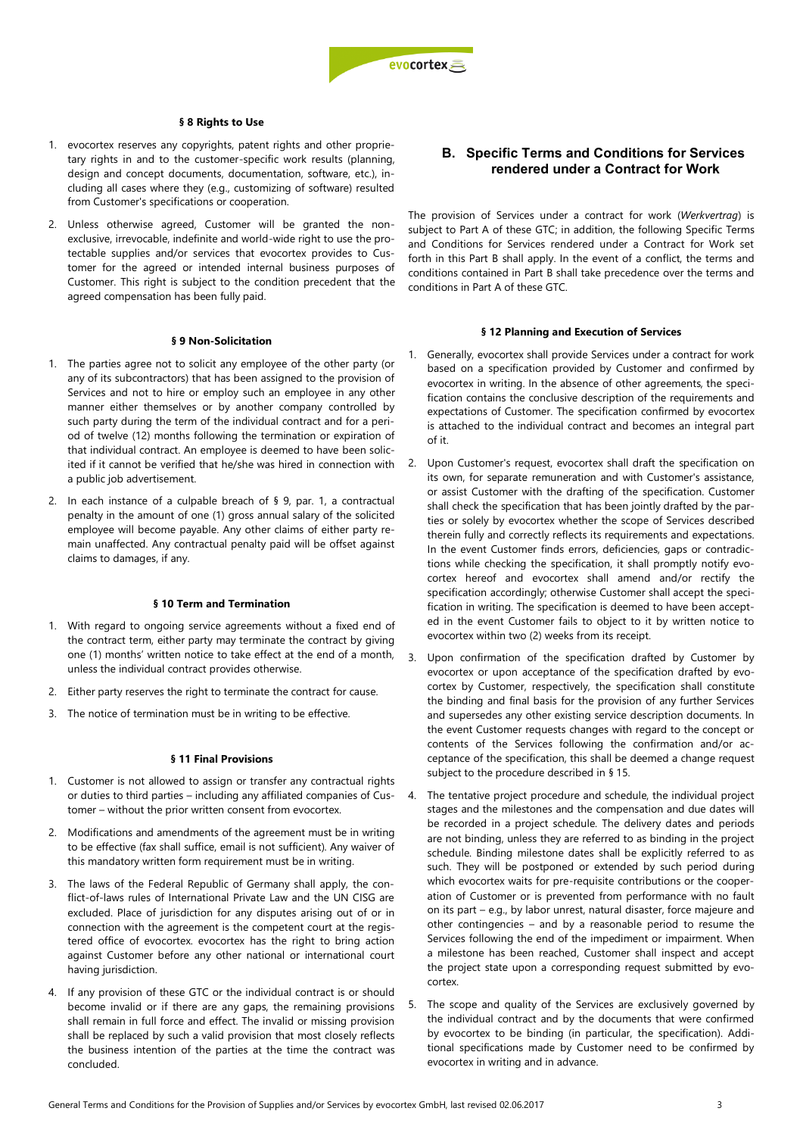

#### **§ 8 Rights to Use**

- 1. evocortex reserves any copyrights, patent rights and other proprietary rights in and to the customer-specific work results (planning, design and concept documents, documentation, software, etc.), including all cases where they (e.g., customizing of software) resulted from Customer's specifications or cooperation.
- 2. Unless otherwise agreed, Customer will be granted the nonexclusive, irrevocable, indefinite and world-wide right to use the protectable supplies and/or services that evocortex provides to Customer for the agreed or intended internal business purposes of Customer. This right is subject to the condition precedent that the agreed compensation has been fully paid.

#### **§ 9 Non-Solicitation**

- 1. The parties agree not to solicit any employee of the other party (or any of its subcontractors) that has been assigned to the provision of Services and not to hire or employ such an employee in any other manner either themselves or by another company controlled by such party during the term of the individual contract and for a period of twelve (12) months following the termination or expiration of that individual contract. An employee is deemed to have been solicited if it cannot be verified that he/she was hired in connection with a public job advertisement.
- 2. In each instance of a culpable breach of § 9, par. 1, a contractual penalty in the amount of one (1) gross annual salary of the solicited employee will become payable. Any other claims of either party remain unaffected. Any contractual penalty paid will be offset against claims to damages, if any.

#### **§ 10 Term and Termination**

- 1. With regard to ongoing service agreements without a fixed end of the contract term, either party may terminate the contract by giving one (1) months' written notice to take effect at the end of a month, unless the individual contract provides otherwise.
- 2. Either party reserves the right to terminate the contract for cause.
- 3. The notice of termination must be in writing to be effective.

# **§ 11 Final Provisions**

- 1. Customer is not allowed to assign or transfer any contractual rights or duties to third parties – including any affiliated companies of Customer – without the prior written consent from evocortex.
- 2. Modifications and amendments of the agreement must be in writing to be effective (fax shall suffice, email is not sufficient). Any waiver of this mandatory written form requirement must be in writing.
- 3. The laws of the Federal Republic of Germany shall apply, the conflict-of-laws rules of International Private Law and the UN CISG are excluded. Place of jurisdiction for any disputes arising out of or in connection with the agreement is the competent court at the registered office of evocortex. evocortex has the right to bring action against Customer before any other national or international court having jurisdiction.
- 4. If any provision of these GTC or the individual contract is or should become invalid or if there are any gaps, the remaining provisions shall remain in full force and effect. The invalid or missing provision shall be replaced by such a valid provision that most closely reflects the business intention of the parties at the time the contract was concluded.

# **B. Specific Terms and Conditions for Services rendered under a Contract for Work**

The provision of Services under a contract for work (*Werkvertrag*) is subject to Part A of these GTC; in addition, the following Specific Terms and Conditions for Services rendered under a Contract for Work set forth in this Part B shall apply. In the event of a conflict, the terms and conditions contained in Part B shall take precedence over the terms and conditions in Part A of these GTC.

#### **§ 12 Planning and Execution of Services**

- 1. Generally, evocortex shall provide Services under a contract for work based on a specification provided by Customer and confirmed by evocortex in writing. In the absence of other agreements, the specification contains the conclusive description of the requirements and expectations of Customer. The specification confirmed by evocortex is attached to the individual contract and becomes an integral part of it.
- 2. Upon Customer's request, evocortex shall draft the specification on its own, for separate remuneration and with Customer's assistance, or assist Customer with the drafting of the specification. Customer shall check the specification that has been jointly drafted by the parties or solely by evocortex whether the scope of Services described therein fully and correctly reflects its requirements and expectations. In the event Customer finds errors, deficiencies, gaps or contradictions while checking the specification, it shall promptly notify evocortex hereof and evocortex shall amend and/or rectify the specification accordingly; otherwise Customer shall accept the specification in writing. The specification is deemed to have been accepted in the event Customer fails to object to it by written notice to evocortex within two (2) weeks from its receipt.
- 3. Upon confirmation of the specification drafted by Customer by evocortex or upon acceptance of the specification drafted by evocortex by Customer, respectively, the specification shall constitute the binding and final basis for the provision of any further Services and supersedes any other existing service description documents. In the event Customer requests changes with regard to the concept or contents of the Services following the confirmation and/or acceptance of the specification, this shall be deemed a change request subject to the procedure described in § 15.
- 4. The tentative project procedure and schedule, the individual project stages and the milestones and the compensation and due dates will be recorded in a project schedule. The delivery dates and periods are not binding, unless they are referred to as binding in the project schedule. Binding milestone dates shall be explicitly referred to as such. They will be postponed or extended by such period during which evocortex waits for pre-requisite contributions or the cooperation of Customer or is prevented from performance with no fault on its part – e.g., by labor unrest, natural disaster, force majeure and other contingencies – and by a reasonable period to resume the Services following the end of the impediment or impairment. When a milestone has been reached, Customer shall inspect and accept the project state upon a corresponding request submitted by evocortex.
- 5. The scope and quality of the Services are exclusively governed by the individual contract and by the documents that were confirmed by evocortex to be binding (in particular, the specification). Additional specifications made by Customer need to be confirmed by evocortex in writing and in advance.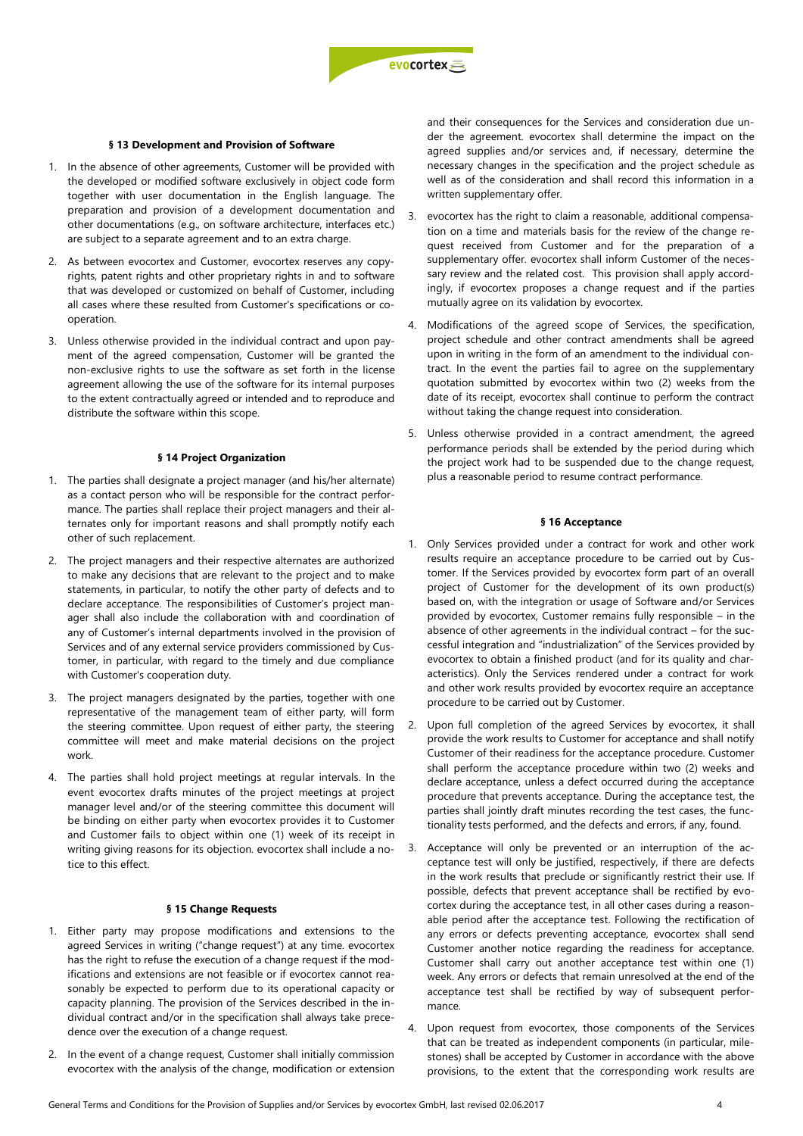# **§ 13 Development and Provision of Software**

- 1. In the absence of other agreements, Customer will be provided with the developed or modified software exclusively in object code form together with user documentation in the English language. The preparation and provision of a development documentation and other documentations (e.g., on software architecture, interfaces etc.) are subject to a separate agreement and to an extra charge.
- 2. As between evocortex and Customer, evocortex reserves any copyrights, patent rights and other proprietary rights in and to software that was developed or customized on behalf of Customer, including all cases where these resulted from Customer's specifications or cooperation.
- 3. Unless otherwise provided in the individual contract and upon payment of the agreed compensation, Customer will be granted the non-exclusive rights to use the software as set forth in the license agreement allowing the use of the software for its internal purposes to the extent contractually agreed or intended and to reproduce and distribute the software within this scope.

# **§ 14 Project Organization**

- 1. The parties shall designate a project manager (and his/her alternate) as a contact person who will be responsible for the contract performance. The parties shall replace their project managers and their alternates only for important reasons and shall promptly notify each other of such replacement.
- 2. The project managers and their respective alternates are authorized to make any decisions that are relevant to the project and to make statements, in particular, to notify the other party of defects and to declare acceptance. The responsibilities of Customer's project manager shall also include the collaboration with and coordination of any of Customer's internal departments involved in the provision of Services and of any external service providers commissioned by Customer, in particular, with regard to the timely and due compliance with Customer's cooperation duty.
- 3. The project managers designated by the parties, together with one representative of the management team of either party, will form the steering committee. Upon request of either party, the steering committee will meet and make material decisions on the project work.
- 4. The parties shall hold project meetings at regular intervals. In the event evocortex drafts minutes of the project meetings at project manager level and/or of the steering committee this document will be binding on either party when evocortex provides it to Customer and Customer fails to object within one (1) week of its receipt in writing giving reasons for its objection. evocortex shall include a notice to this effect.

#### **§ 15 Change Requests**

- 1. Either party may propose modifications and extensions to the agreed Services in writing ("change request") at any time. evocortex has the right to refuse the execution of a change request if the modifications and extensions are not feasible or if evocortex cannot reasonably be expected to perform due to its operational capacity or capacity planning. The provision of the Services described in the individual contract and/or in the specification shall always take precedence over the execution of a change request.
- 2. In the event of a change request, Customer shall initially commission evocortex with the analysis of the change, modification or extension

and their consequences for the Services and consideration due under the agreement. evocortex shall determine the impact on the agreed supplies and/or services and, if necessary, determine the necessary changes in the specification and the project schedule as well as of the consideration and shall record this information in a written supplementary offer.

- 3. evocortex has the right to claim a reasonable, additional compensation on a time and materials basis for the review of the change request received from Customer and for the preparation of a supplementary offer. evocortex shall inform Customer of the necessary review and the related cost. This provision shall apply accordingly, if evocortex proposes a change request and if the parties mutually agree on its validation by evocortex.
- 4. Modifications of the agreed scope of Services, the specification, project schedule and other contract amendments shall be agreed upon in writing in the form of an amendment to the individual contract. In the event the parties fail to agree on the supplementary quotation submitted by evocortex within two (2) weeks from the date of its receipt, evocortex shall continue to perform the contract without taking the change request into consideration.
- 5. Unless otherwise provided in a contract amendment, the agreed performance periods shall be extended by the period during which the project work had to be suspended due to the change request, plus a reasonable period to resume contract performance.

## **§ 16 Acceptance**

- 1. Only Services provided under a contract for work and other work results require an acceptance procedure to be carried out by Customer. If the Services provided by evocortex form part of an overall project of Customer for the development of its own product(s) based on, with the integration or usage of Software and/or Services provided by evocortex, Customer remains fully responsible – in the absence of other agreements in the individual contract – for the successful integration and "industrialization" of the Services provided by evocortex to obtain a finished product (and for its quality and characteristics). Only the Services rendered under a contract for work and other work results provided by evocortex require an acceptance procedure to be carried out by Customer.
- 2. Upon full completion of the agreed Services by evocortex, it shall provide the work results to Customer for acceptance and shall notify Customer of their readiness for the acceptance procedure. Customer shall perform the acceptance procedure within two (2) weeks and declare acceptance, unless a defect occurred during the acceptance procedure that prevents acceptance. During the acceptance test, the parties shall jointly draft minutes recording the test cases, the functionality tests performed, and the defects and errors, if any, found.
- 3. Acceptance will only be prevented or an interruption of the acceptance test will only be justified, respectively, if there are defects in the work results that preclude or significantly restrict their use. If possible, defects that prevent acceptance shall be rectified by evocortex during the acceptance test, in all other cases during a reasonable period after the acceptance test. Following the rectification of any errors or defects preventing acceptance, evocortex shall send Customer another notice regarding the readiness for acceptance. Customer shall carry out another acceptance test within one (1) week. Any errors or defects that remain unresolved at the end of the acceptance test shall be rectified by way of subsequent performance.
- 4. Upon request from evocortex, those components of the Services that can be treated as independent components (in particular, milestones) shall be accepted by Customer in accordance with the above provisions, to the extent that the corresponding work results are